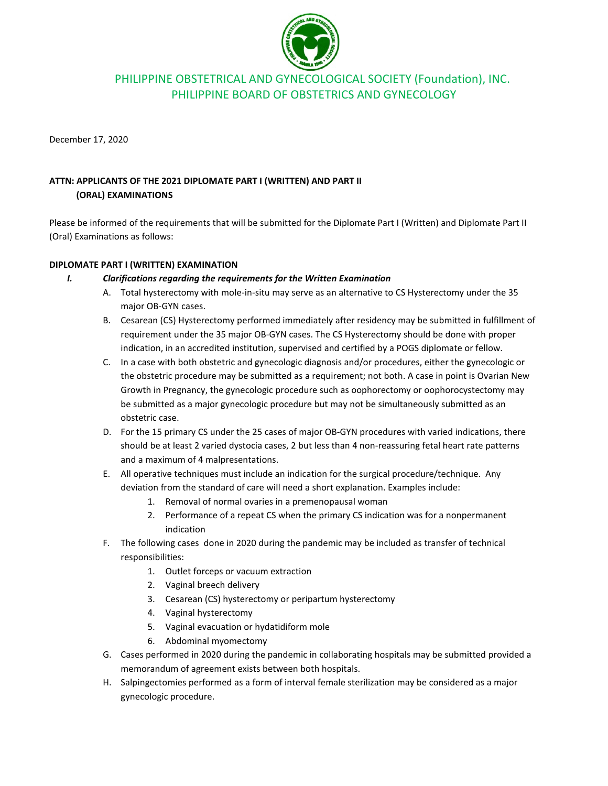

# PHILIPPINE OBSTETRICAL AND GYNECOLOGICAL SOCIETY (Foundation), INC. PHILIPPINE BOARD OF OBSTETRICS AND GYNECOLOGY

December 17, 2020

# **ATTN: APPLICANTS OF THE 2021 DIPLOMATE PART I (WRITTEN) AND PART II (ORAL) EXAMINATIONS**

Please be informed of the requirements that will be submitted for the Diplomate Part I (Written) and Diplomate Part II (Oral) Examinations as follows:

# **DIPLOMATE PART I (WRITTEN) EXAMINATION**

- *I. Clarifications regarding the requirements for the Written Examination* 
	- A. Total hysterectomy with mole-in-situ may serve as an alternative to CS Hysterectomy under the 35 major OB-GYN cases.
	- B. Cesarean (CS) Hysterectomy performed immediately after residency may be submitted in fulfillment of requirement under the 35 major OB-GYN cases. The CS Hysterectomy should be done with proper indication, in an accredited institution, supervised and certified by a POGS diplomate or fellow.
	- C. In a case with both obstetric and gynecologic diagnosis and/or procedures, either the gynecologic or the obstetric procedure may be submitted as a requirement; not both. A case in point is Ovarian New Growth in Pregnancy, the gynecologic procedure such as oophorectomy or oophorocystectomy may be submitted as a major gynecologic procedure but may not be simultaneously submitted as an obstetric case.
	- D. For the 15 primary CS under the 25 cases of major OB-GYN procedures with varied indications, there should be at least 2 varied dystocia cases, 2 but less than 4 non-reassuring fetal heart rate patterns and a maximum of 4 malpresentations.
	- E. All operative techniques must include an indication for the surgical procedure/technique. Any deviation from the standard of care will need a short explanation. Examples include:
		- 1. Removal of normal ovaries in a premenopausal woman
		- 2. Performance of a repeat CS when the primary CS indication was for a nonpermanent indication
	- F. The following cases done in 2020 during the pandemic may be included as transfer of technical responsibilities:
		- 1. Outlet forceps or vacuum extraction
		- 2. Vaginal breech delivery
		- 3. Cesarean (CS) hysterectomy or peripartum hysterectomy
		- 4. Vaginal hysterectomy
		- 5. Vaginal evacuation or hydatidiform mole
		- 6. Abdominal myomectomy
	- G. Cases performed in 2020 during the pandemic in collaborating hospitals may be submitted provided a memorandum of agreement exists between both hospitals.
	- H. Salpingectomies performed as a form of interval female sterilization may be considered as a major gynecologic procedure.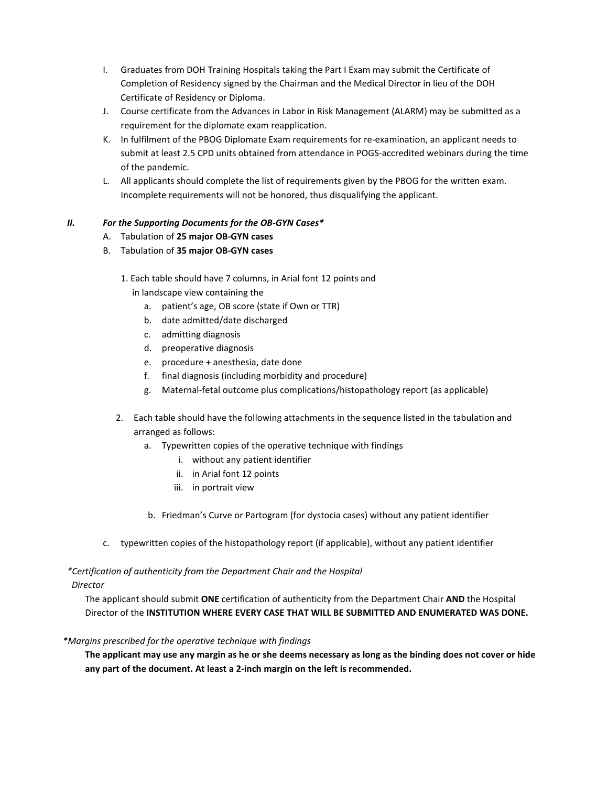- I. Graduates from DOH Training Hospitals taking the Part I Exam may submit the Certificate of Completion of Residency signed by the Chairman and the Medical Director in lieu of the DOH Certificate of Residency or Diploma.
- J. Course certificate from the Advances in Labor in Risk Management (ALARM) may be submitted as a requirement for the diplomate exam reapplication.
- K. In fulfilment of the PBOG Diplomate Exam requirements for re-examination, an applicant needs to submit at least 2.5 CPD units obtained from attendance in POGS-accredited webinars during the time of the pandemic.
- L. All applicants should complete the list of requirements given by the PBOG for the written exam. Incomplete requirements will not be honored, thus disqualifying the applicant.

# *II. For the Supporting Documents for the OB-GYN Cases\**

- A. Tabulation of **25 major OB-GYN cases**
- B. Tabulation of **35 major OB-GYN cases**
	- 1. Each table should have 7 columns, in Arial font 12 points and in landscape view containing the
		- a. patient's age, OB score (state if Own or TTR)
		- b. date admitted/date discharged
		- c. admitting diagnosis
		- d. preoperative diagnosis
		- e. procedure + anesthesia, date done
		- f. final diagnosis (including morbidity and procedure)
		- g. Maternal-fetal outcome plus complications/histopathology report (as applicable)
	- 2. Each table should have the following attachments in the sequence listed in the tabulation and arranged as follows:
		- a. Typewritten copies of the operative technique with findings
			- i. without any patient identifier
			- ii. in Arial font 12 points
			- iii. in portrait view
		- b. Friedman's Curve or Partogram (for dystocia cases) without any patient identifier
- c. typewritten copies of the histopathology report (if applicable), without any patient identifier

#### *\*Certification of authenticity from the Department Chair and the Hospital Director*

The applicant should submit **ONE** certification of authenticity from the Department Chair **AND** the Hospital Director of the **INSTITUTION WHERE EVERY CASE THAT WILL BE SUBMITTED AND ENUMERATED WAS DONE.**

#### *\*Margins prescribed for the operative technique with findings*

**The applicant may use any margin as he or she deems necessary as long as the binding does not cover or hide any part of the document. At least a 2-inch margin on the left is recommended.**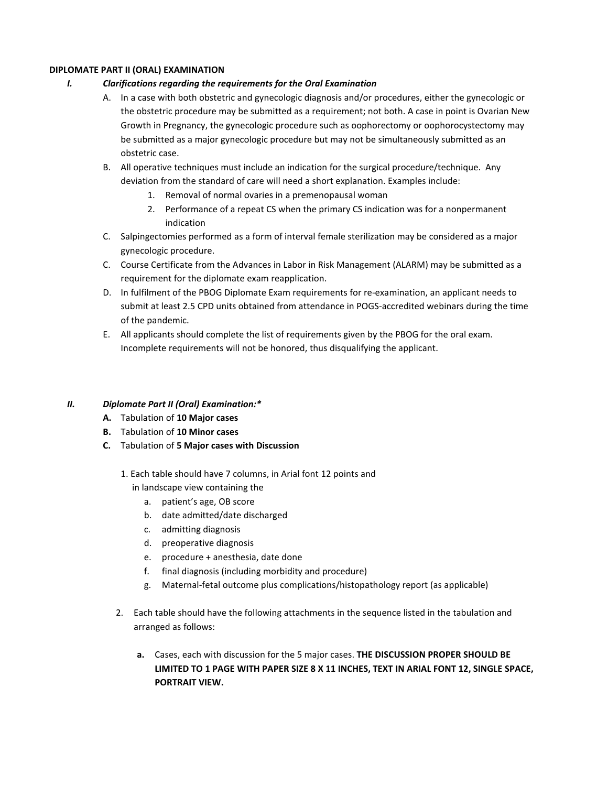#### **DIPLOMATE PART II (ORAL) EXAMINATION**

# *I. Clarifications regarding the requirements for the Oral Examination*

- A. In a case with both obstetric and gynecologic diagnosis and/or procedures, either the gynecologic or the obstetric procedure may be submitted as a requirement; not both. A case in point is Ovarian New Growth in Pregnancy, the gynecologic procedure such as oophorectomy or oophorocystectomy may be submitted as a major gynecologic procedure but may not be simultaneously submitted as an obstetric case.
- B. All operative techniques must include an indication for the surgical procedure/technique. Any deviation from the standard of care will need a short explanation. Examples include:
	- 1. Removal of normal ovaries in a premenopausal woman
	- 2. Performance of a repeat CS when the primary CS indication was for a nonpermanent indication
- C. Salpingectomies performed as a form of interval female sterilization may be considered as a major gynecologic procedure.
- C. Course Certificate from the Advances in Labor in Risk Management (ALARM) may be submitted as a requirement for the diplomate exam reapplication.
- D. In fulfilment of the PBOG Diplomate Exam requirements for re-examination, an applicant needs to submit at least 2.5 CPD units obtained from attendance in POGS-accredited webinars during the time of the pandemic.
- E. All applicants should complete the list of requirements given by the PBOG for the oral exam. Incomplete requirements will not be honored, thus disqualifying the applicant.

# *II. Diplomate Part II (Oral) Examination:\**

- **A.** Tabulation of **10 Major cases**
- **B.** Tabulation of **10 Minor cases**
- **C.** Tabulation of **5 Major cases with Discussion** 
	- 1. Each table should have 7 columns, in Arial font 12 points and in landscape view containing the
		- a. patient's age, OB score
		- b. date admitted/date discharged
		- c. admitting diagnosis
		- d. preoperative diagnosis
		- e. procedure + anesthesia, date done
		- f. final diagnosis (including morbidity and procedure)
		- g. Maternal-fetal outcome plus complications/histopathology report (as applicable)
	- 2. Each table should have the following attachments in the sequence listed in the tabulation and arranged as follows:
		- **a.** Cases, each with discussion for the 5 major cases. **THE DISCUSSION PROPER SHOULD BE LIMITED TO 1 PAGE WITH PAPER SIZE 8 X 11 INCHES, TEXT IN ARIAL FONT 12, SINGLE SPACE, PORTRAIT VIEW.**